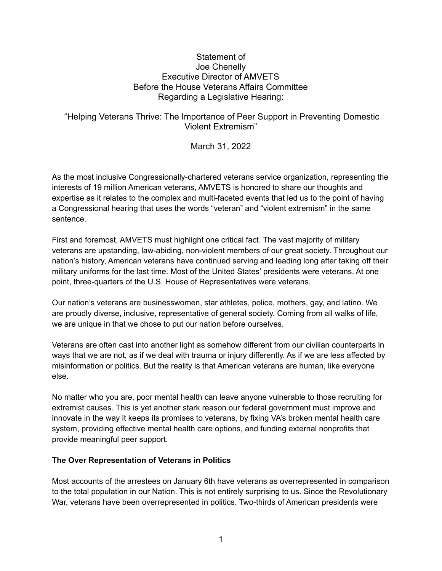## Statement of Joe Chenelly Executive Director of AMVETS Before the House Veterans Affairs Committee Regarding a Legislative Hearing:

## "Helping Veterans Thrive: The Importance of Peer Support in Preventing Domestic Violent Extremism"

March 31, 2022

As the most inclusive Congressionally-chartered veterans service organization, representing the interests of 19 million American veterans, AMVETS is honored to share our thoughts and expertise as it relates to the complex and multi-faceted events that led us to the point of having a Congressional hearing that uses the words "veteran" and "violent extremism" in the same sentence.

First and foremost, AMVETS must highlight one critical fact. The vast majority of military veterans are upstanding, law-abiding, non-violent members of our great society. Throughout our nation's history, American veterans have continued serving and leading long after taking off their military uniforms for the last time. Most of the United States' presidents were veterans. At one point, three-quarters of the U.S. House of Representatives were veterans.

Our nation's veterans are businesswomen, star athletes, police, mothers, gay, and latino. We are proudly diverse, inclusive, representative of general society. Coming from all walks of life, we are unique in that we chose to put our nation before ourselves.

Veterans are often cast into another light as somehow different from our civilian counterparts in ways that we are not, as if we deal with trauma or injury differently. As if we are less affected by misinformation or politics. But the reality is that American veterans are human, like everyone else.

No matter who you are, poor mental health can leave anyone vulnerable to those recruiting for extremist causes. This is yet another stark reason our federal government must improve and innovate in the way it keeps its promises to veterans, by fixing VA's broken mental health care system, providing effective mental health care options, and funding external nonprofits that provide meaningful peer support.

## **The Over Representation of Veterans in Politics**

Most accounts of the arrestees on January 6th have veterans as overrepresented in comparison to the total population in our Nation. This is not entirely surprising to us. Since the Revolutionary War, veterans have been overrepresented in politics. Two-thirds of American presidents were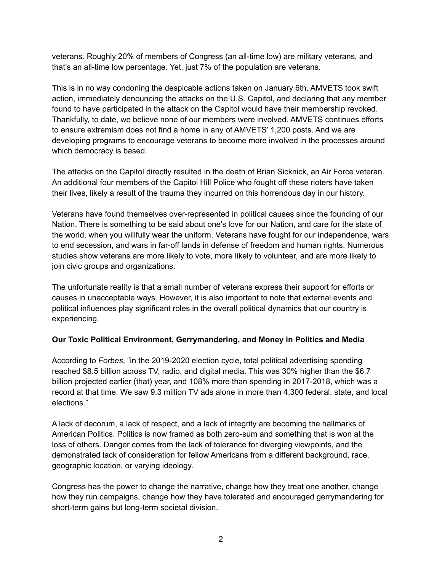veterans. Roughly 20% of members of Congress (an all-time low) are military veterans, and that's an all-time low percentage. Yet, just 7% of the population are veterans.

This is in no way condoning the despicable actions taken on January 6th. AMVETS took swift action, immediately denouncing the attacks on the U.S. Capitol, and declaring that any member found to have participated in the attack on the Capitol would have their membership revoked. Thankfully, to date, we believe none of our members were involved. AMVETS continues efforts to ensure extremism does not find a home in any of AMVETS' 1,200 posts. And we are developing programs to encourage veterans to become more involved in the processes around which democracy is based.

The attacks on the Capitol directly resulted in the death of Brian Sicknick, an Air Force veteran. An additional four members of the Capitol Hill Police who fought off these rioters have taken their lives, likely a result of the trauma they incurred on this horrendous day in our history.

Veterans have found themselves over-represented in political causes since the founding of our Nation. There is something to be said about one's love for our Nation, and care for the state of the world, when you willfully wear the uniform. Veterans have fought for our independence, wars to end secession, and wars in far-off lands in defense of freedom and human rights. Numerous studies show veterans are more likely to vote, more likely to volunteer, and are more likely to join civic groups and organizations.

The unfortunate reality is that a small number of veterans express their support for efforts or causes in unacceptable ways. However, it is also important to note that external events and political influences play significant roles in the overall political dynamics that our country is experiencing.

## **Our Toxic Political Environment, Gerrymandering, and Money in Politics and Media**

According to *Forbes*, "in the 2019-2020 election cycle, total political advertising spending reached \$8.5 billion across TV, radio, and digital media. This was 30% higher than the \$6.7 billion projected earlier (that) year, and 108% more than spending in 2017-2018, which was a record at that time. We saw 9.3 million TV ads alone in more than 4,300 federal, state, and local elections."

A lack of decorum, a lack of respect, and a lack of integrity are becoming the hallmarks of American Politics. Politics is now framed as both zero-sum and something that is won at the loss of others. Danger comes from the lack of tolerance for diverging viewpoints, and the demonstrated lack of consideration for fellow Americans from a different background, race, geographic location, or varying ideology.

Congress has the power to change the narrative, change how they treat one another, change how they run campaigns, change how they have tolerated and encouraged gerrymandering for short-term gains but long-term societal division.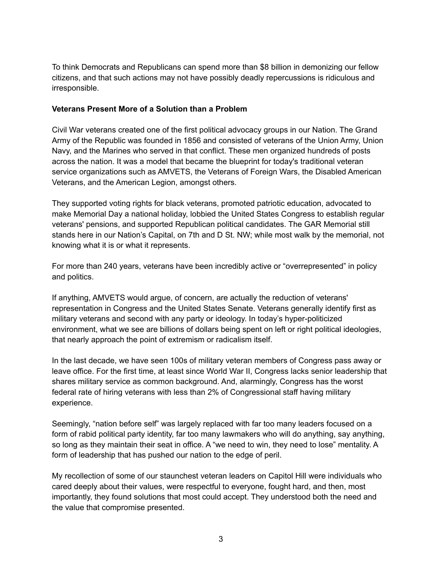To think Democrats and Republicans can spend more than \$8 billion in demonizing our fellow citizens, and that such actions may not have possibly deadly repercussions is ridiculous and irresponsible.

#### **Veterans Present More of a Solution than a Problem**

Civil War veterans created one of the first political advocacy groups in our Nation. The Grand Army of the Republic was founded in 1856 and consisted of veterans of the Union Army, Union Navy, and the Marines who served in that conflict. These men organized hundreds of posts across the nation. It was a model that became the blueprint for today's traditional veteran service organizations such as AMVETS, the Veterans of Foreign Wars, the Disabled American Veterans, and the American Legion, amongst others.

They supported voting rights for black veterans, promoted patriotic education, advocated to make Memorial Day a national holiday, lobbied the United States Congress to establish regular veterans' pensions, and supported Republican political candidates. The GAR Memorial still stands here in our Nation's Capital, on 7th and D St. NW; while most walk by the memorial, not knowing what it is or what it represents.

For more than 240 years, veterans have been incredibly active or "overrepresented" in policy and politics.

If anything, AMVETS would argue, of concern, are actually the reduction of veterans' representation in Congress and the United States Senate. Veterans generally identify first as military veterans and second with any party or ideology. In today's hyper-politicized environment, what we see are billions of dollars being spent on left or right political ideologies, that nearly approach the point of extremism or radicalism itself.

In the last decade, we have seen 100s of military veteran members of Congress pass away or leave office. For the first time, at least since World War II, Congress lacks senior leadership that shares military service as common background. And, alarmingly, Congress has the worst federal rate of hiring veterans with less than 2% of Congressional staff having military experience.

Seemingly, "nation before self" was largely replaced with far too many leaders focused on a form of rabid political party identity, far too many lawmakers who will do anything, say anything, so long as they maintain their seat in office. A "we need to win, they need to lose" mentality. A form of leadership that has pushed our nation to the edge of peril.

My recollection of some of our staunchest veteran leaders on Capitol Hill were individuals who cared deeply about their values, were respectful to everyone, fought hard, and then, most importantly, they found solutions that most could accept. They understood both the need and the value that compromise presented.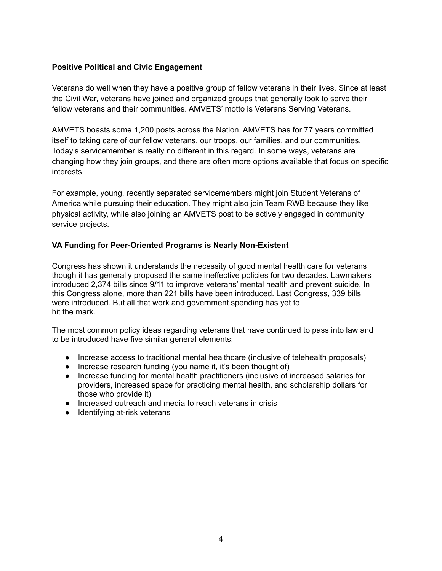### **Positive Political and Civic Engagement**

Veterans do well when they have a positive group of fellow veterans in their lives. Since at least the Civil War, veterans have joined and organized groups that generally look to serve their fellow veterans and their communities. AMVETS' motto is Veterans Serving Veterans.

AMVETS boasts some 1,200 posts across the Nation. AMVETS has for 77 years committed itself to taking care of our fellow veterans, our troops, our families, and our communities. Today's servicemember is really no different in this regard. In some ways, veterans are changing how they join groups, and there are often more options available that focus on specific interests.

For example, young, recently separated servicemembers might join Student Veterans of America while pursuing their education. They might also join Team RWB because they like physical activity, while also joining an AMVETS post to be actively engaged in community service projects.

#### **VA Funding for Peer-Oriented Programs is Nearly Non-Existent**

Congress has shown it understands the necessity of good mental health care for veterans though it has generally proposed the same ineffective policies for two decades. Lawmakers introduced 2,374 bills since 9/11 to improve veterans' mental health and prevent suicide. In this Congress alone, more than 221 bills have been introduced. Last Congress, 339 bills were introduced. But all that work and government spending has yet to hit the mark.

The most common policy ideas regarding veterans that have continued to pass into law and to be introduced have five similar general elements:

- Increase access to traditional mental healthcare (inclusive of telehealth proposals)
- Increase research funding (you name it, it's been thought of)
- Increase funding for mental health practitioners (inclusive of increased salaries for providers, increased space for practicing mental health, and scholarship dollars for those who provide it)
- Increased outreach and media to reach veterans in crisis
- Identifying at-risk veterans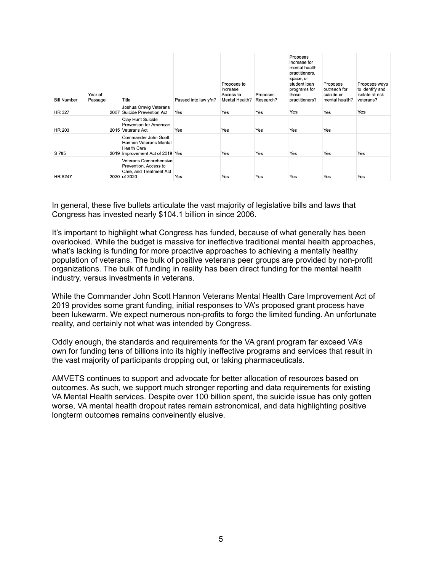| <b>Bill Number</b> | Year of<br>Passage | Title                                                                                                    | Passed into law y/n? | Proposes to<br>increase<br>Access to<br>Mental Health? | Proposes<br>Research? | Proposes<br>increase for<br>mental health<br>practitioners,<br>space, or<br>student loan<br>programs for<br>those<br>practitioners? | Proposes<br>outreach for<br>suicide or<br>mental health? | Proposes ways<br>to identify and<br>isolate at-risk<br>veterans? |
|--------------------|--------------------|----------------------------------------------------------------------------------------------------------|----------------------|--------------------------------------------------------|-----------------------|-------------------------------------------------------------------------------------------------------------------------------------|----------------------------------------------------------|------------------------------------------------------------------|
| <b>HR 327</b>      |                    | Joshua Omvig Veterans<br>2007 Suicide Prevention Act                                                     | Yes                  | Yes                                                    | Yes                   | Yes                                                                                                                                 | Yes                                                      | Yes                                                              |
| HR 203             |                    | Clay Hunt Suicide<br>Prevention for American<br>2015 Veterans Act                                        | Yes                  | Yes                                                    | Yes                   | Yes                                                                                                                                 | Yes                                                      |                                                                  |
| S 785              |                    | Commander John Scott<br>Hannon Veterans Mental<br><b>Health Care</b><br>2019 Improvement Act of 2019 Yes |                      | Yes                                                    | Yes                   | Yes                                                                                                                                 | Yes                                                      | Yes                                                              |
| HR 8247            |                    | Veterans Comprehensive<br>Prevention, Access to<br>Care, and Treatment Act<br>2020 of 2020               | Yes                  | Yes                                                    | Yes                   | Yes                                                                                                                                 | Yes                                                      | Yes                                                              |

In general, these five bullets articulate the vast majority of legislative bills and laws that Congress has invested nearly \$104.1 billion in since 2006.

It's important to highlight what Congress has funded, because of what generally has been overlooked. While the budget is massive for ineffective traditional mental health approaches, what's lacking is funding for more proactive approaches to achieving a mentally healthy population of veterans. The bulk of positive veterans peer groups are provided by non-profit organizations. The bulk of funding in reality has been direct funding for the mental health industry, versus investments in veterans.

While the Commander John Scott Hannon Veterans Mental Health Care Improvement Act of 2019 provides some grant funding, initial responses to VA's proposed grant process have been lukewarm. We expect numerous non-profits to forgo the limited funding. An unfortunate reality, and certainly not what was intended by Congress.

Oddly enough, the standards and requirements for the VA grant program far exceed VA's own for funding tens of billions into its highly ineffective programs and services that result in the vast majority of participants dropping out, or taking pharmaceuticals.

AMVETS continues to support and advocate for better allocation of resources based on outcomes. As such, we support much stronger reporting and data requirements for existing VA Mental Health services. Despite over 100 billion spent, the suicide issue has only gotten worse, VA mental health dropout rates remain astronomical, and data highlighting positive longterm outcomes remains conveinently elusive.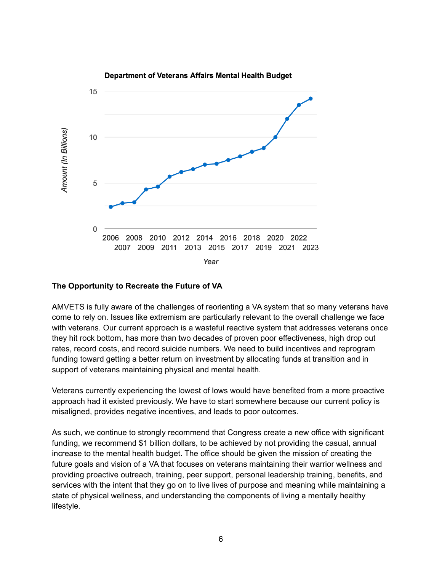

#### **The Opportunity to Recreate the Future of VA**

AMVETS is fully aware of the challenges of reorienting a VA system that so many veterans have come to rely on. Issues like extremism are particularly relevant to the overall challenge we face with veterans. Our current approach is a wasteful reactive system that addresses veterans once they hit rock bottom, has more than two decades of proven poor effectiveness, high drop out rates, record costs, and record suicide numbers. We need to build incentives and reprogram funding toward getting a better return on investment by allocating funds at transition and in support of veterans maintaining physical and mental health.

Veterans currently experiencing the lowest of lows would have benefited from a more proactive approach had it existed previously. We have to start somewhere because our current policy is misaligned, provides negative incentives, and leads to poor outcomes.

As such, we continue to strongly recommend that Congress create a new office with significant funding, we recommend \$1 billion dollars, to be achieved by not providing the casual, annual increase to the mental health budget. The office should be given the mission of creating the future goals and vision of a VA that focuses on veterans maintaining their warrior wellness and providing proactive outreach, training, peer support, personal leadership training, benefits, and services with the intent that they go on to live lives of purpose and meaning while maintaining a state of physical wellness, and understanding the components of living a mentally healthy lifestyle.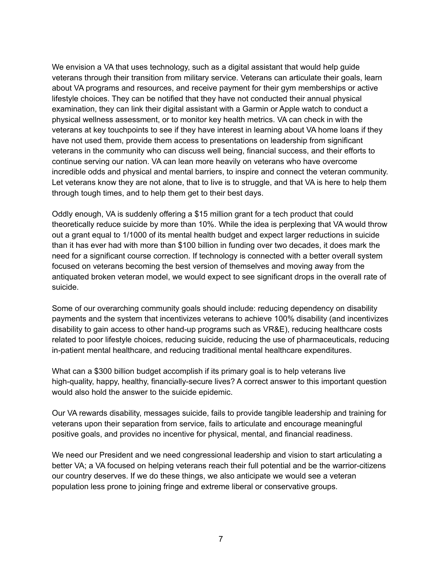We envision a VA that uses technology, such as a digital assistant that would help guide veterans through their transition from military service. Veterans can articulate their goals, learn about VA programs and resources, and receive payment for their gym memberships or active lifestyle choices. They can be notified that they have not conducted their annual physical examination, they can link their digital assistant with a Garmin or Apple watch to conduct a physical wellness assessment, or to monitor key health metrics. VA can check in with the veterans at key touchpoints to see if they have interest in learning about VA home loans if they have not used them, provide them access to presentations on leadership from significant veterans in the community who can discuss well being, financial success, and their efforts to continue serving our nation. VA can lean more heavily on veterans who have overcome incredible odds and physical and mental barriers, to inspire and connect the veteran community. Let veterans know they are not alone, that to live is to struggle, and that VA is here to help them through tough times, and to help them get to their best days.

Oddly enough, VA is suddenly offering a \$15 million grant for a tech product that could theoretically reduce suicide by more than 10%. While the idea is perplexing that VA would throw out a grant equal to 1/1000 of its mental health budget and expect larger reductions in suicide than it has ever had with more than \$100 billion in funding over two decades, it does mark the need for a significant course correction. If technology is connected with a better overall system focused on veterans becoming the best version of themselves and moving away from the antiquated broken veteran model, we would expect to see significant drops in the overall rate of suicide.

Some of our overarching community goals should include: reducing dependency on disability payments and the system that incentivizes veterans to achieve 100% disability (and incentivizes disability to gain access to other hand-up programs such as VR&E), reducing healthcare costs related to poor lifestyle choices, reducing suicide, reducing the use of pharmaceuticals, reducing in-patient mental healthcare, and reducing traditional mental healthcare expenditures.

What can a \$300 billion budget accomplish if its primary goal is to help veterans live high-quality, happy, healthy, financially-secure lives? A correct answer to this important question would also hold the answer to the suicide epidemic.

Our VA rewards disability, messages suicide, fails to provide tangible leadership and training for veterans upon their separation from service, fails to articulate and encourage meaningful positive goals, and provides no incentive for physical, mental, and financial readiness.

We need our President and we need congressional leadership and vision to start articulating a better VA; a VA focused on helping veterans reach their full potential and be the warrior-citizens our country deserves. If we do these things, we also anticipate we would see a veteran population less prone to joining fringe and extreme liberal or conservative groups.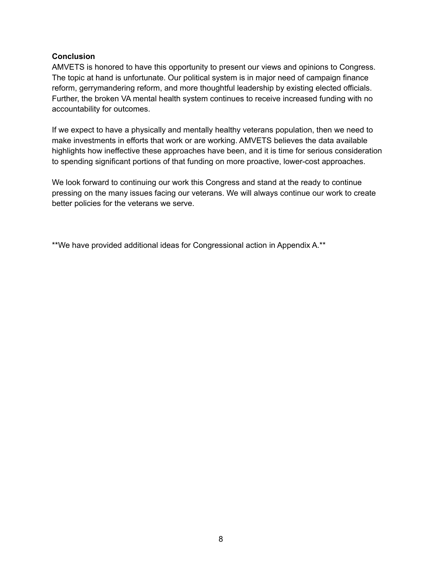#### **Conclusion**

AMVETS is honored to have this opportunity to present our views and opinions to Congress. The topic at hand is unfortunate. Our political system is in major need of campaign finance reform, gerrymandering reform, and more thoughtful leadership by existing elected officials. Further, the broken VA mental health system continues to receive increased funding with no accountability for outcomes.

If we expect to have a physically and mentally healthy veterans population, then we need to make investments in efforts that work or are working. AMVETS believes the data available highlights how ineffective these approaches have been, and it is time for serious consideration to spending significant portions of that funding on more proactive, lower-cost approaches.

We look forward to continuing our work this Congress and stand at the ready to continue pressing on the many issues facing our veterans. We will always continue our work to create better policies for the veterans we serve.

\*\*We have provided additional ideas for Congressional action in Appendix A.\*\*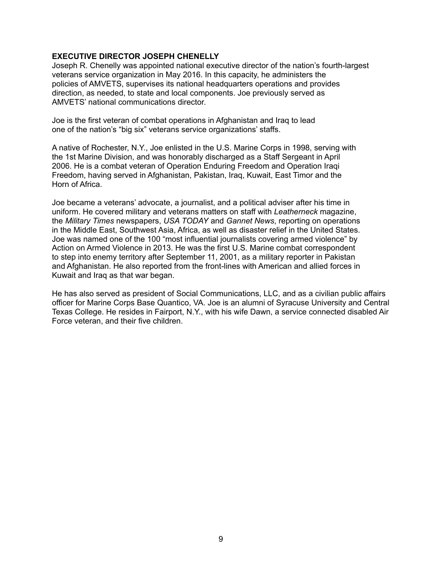#### **EXECUTIVE DIRECTOR JOSEPH CHENELLY**

Joseph R. Chenelly was appointed national executive director of the nation's fourth-largest veterans service organization in May 2016. In this capacity, he administers the policies of AMVETS, supervises its national headquarters operations and provides direction, as needed, to state and local components. Joe previously served as AMVETS' national communications director.

Joe is the first veteran of combat operations in Afghanistan and Iraq to lead one of the nation's "big six" veterans service organizations' staffs.

A native of Rochester, N.Y., Joe enlisted in the U.S. Marine Corps in 1998, serving with the 1st Marine Division, and was honorably discharged as a Staff Sergeant in April 2006. He is a combat veteran of Operation Enduring Freedom and Operation Iraqi Freedom, having served in Afghanistan, Pakistan, Iraq, Kuwait, East Timor and the Horn of Africa.

Joe became a veterans' advocate, a journalist, and a political adviser after his time in uniform. He covered military and veterans matters on staff with *Leatherneck* magazine, the *Military Times* newspapers, *USA TODAY* and *Gannet News*, reporting on operations in the Middle East, Southwest Asia, Africa, as well as disaster relief in the United States. Joe was named one of the 100 "most influential journalists covering armed violence" by Action on Armed Violence in 2013. He was the first U.S. Marine combat correspondent to step into enemy territory after September 11, 2001, as a military reporter in Pakistan and Afghanistan. He also reported from the front-lines with American and allied forces in Kuwait and Iraq as that war began.

He has also served as president of Social Communications, LLC, and as a civilian public affairs officer for Marine Corps Base Quantico, VA. Joe is an alumni of Syracuse University and Central Texas College. He resides in Fairport, N.Y., with his wife Dawn, a service connected disabled Air Force veteran, and their five children.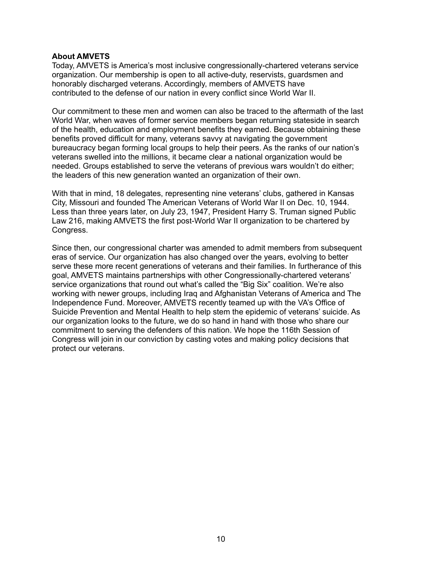#### **About AMVETS**

Today, AMVETS is America's most inclusive congressionally-chartered veterans service organization. Our membership is open to all active-duty, reservists, guardsmen and honorably discharged veterans. Accordingly, members of AMVETS have contributed to the defense of our nation in every conflict since World War II.

Our commitment to these men and women can also be traced to the aftermath of the last World War, when waves of former service members began returning stateside in search of the health, education and employment benefits they earned. Because obtaining these benefits proved difficult for many, veterans savvy at navigating the government bureaucracy began forming local groups to help their peers. As the ranks of our nation's veterans swelled into the millions, it became clear a national organization would be needed. Groups established to serve the veterans of previous wars wouldn't do either; the leaders of this new generation wanted an organization of their own.

With that in mind, 18 delegates, representing nine veterans' clubs, gathered in Kansas City, Missouri and founded The American Veterans of World War II on Dec. 10, 1944. Less than three years later, on July 23, 1947, President Harry S. Truman signed Public Law 216, making AMVETS the first post-World War II organization to be chartered by Congress.

Since then, our congressional charter was amended to admit members from subsequent eras of service. Our organization has also changed over the years, evolving to better serve these more recent generations of veterans and their families. In furtherance of this goal, AMVETS maintains partnerships with other Congressionally-chartered veterans' service organizations that round out what's called the "Big Six" coalition. We're also working with newer groups, including Iraq and Afghanistan Veterans of America and The Independence Fund. Moreover, AMVETS recently teamed up with the VA's Office of Suicide Prevention and Mental Health to help stem the epidemic of veterans' suicide. As our organization looks to the future, we do so hand in hand with those who share our commitment to serving the defenders of this nation. We hope the 116th Session of Congress will join in our conviction by casting votes and making policy decisions that protect our veterans.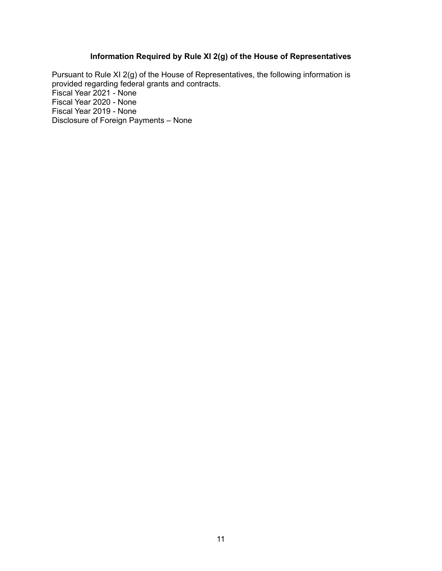# **Information Required by Rule XI 2(g) of the House of Representatives**

Pursuant to Rule XI 2(g) of the House of Representatives, the following information is provided regarding federal grants and contracts. Fiscal Year 2021 - None Fiscal Year 2020 - None Fiscal Year 2019 - None Disclosure of Foreign Payments – None